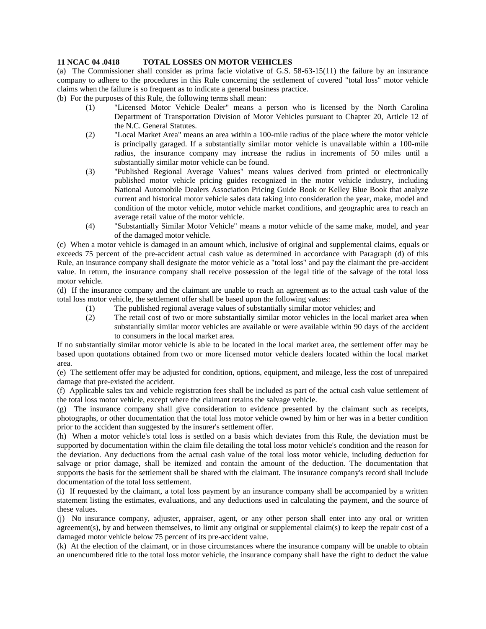## **11 NCAC 04 .0418 TOTAL LOSSES ON MOTOR VEHICLES**

(a) The Commissioner shall consider as prima facie violative of G.S. 58-63-15(11) the failure by an insurance company to adhere to the procedures in this Rule concerning the settlement of covered "total loss" motor vehicle claims when the failure is so frequent as to indicate a general business practice.

(b) For the purposes of this Rule, the following terms shall mean:

- (1) "Licensed Motor Vehicle Dealer" means a person who is licensed by the North Carolina Department of Transportation Division of Motor Vehicles pursuant to Chapter 20, Article 12 of the N.C. General Statutes.
- (2) "Local Market Area" means an area within a 100-mile radius of the place where the motor vehicle is principally garaged. If a substantially similar motor vehicle is unavailable within a 100-mile radius, the insurance company may increase the radius in increments of 50 miles until a substantially similar motor vehicle can be found.
- (3) "Published Regional Average Values" means values derived from printed or electronically published motor vehicle pricing guides recognized in the motor vehicle industry, including National Automobile Dealers Association Pricing Guide Book or Kelley Blue Book that analyze current and historical motor vehicle sales data taking into consideration the year, make, model and condition of the motor vehicle, motor vehicle market conditions, and geographic area to reach an average retail value of the motor vehicle.
- (4) "Substantially Similar Motor Vehicle" means a motor vehicle of the same make, model, and year of the damaged motor vehicle.

(c) When a motor vehicle is damaged in an amount which, inclusive of original and supplemental claims, equals or exceeds 75 percent of the pre-accident actual cash value as determined in accordance with Paragraph (d) of this Rule, an insurance company shall designate the motor vehicle as a "total loss" and pay the claimant the pre-accident value. In return, the insurance company shall receive possession of the legal title of the salvage of the total loss motor vehicle.

(d) If the insurance company and the claimant are unable to reach an agreement as to the actual cash value of the total loss motor vehicle, the settlement offer shall be based upon the following values:

- (1) The published regional average values of substantially similar motor vehicles; and
- (2) The retail cost of two or more substantially similar motor vehicles in the local market area when substantially similar motor vehicles are available or were available within 90 days of the accident to consumers in the local market area.

If no substantially similar motor vehicle is able to be located in the local market area, the settlement offer may be based upon quotations obtained from two or more licensed motor vehicle dealers located within the local market area.

(e) The settlement offer may be adjusted for condition, options, equipment, and mileage, less the cost of unrepaired damage that pre-existed the accident.

(f) Applicable sales tax and vehicle registration fees shall be included as part of the actual cash value settlement of the total loss motor vehicle, except where the claimant retains the salvage vehicle.

(g) The insurance company shall give consideration to evidence presented by the claimant such as receipts, photographs, or other documentation that the total loss motor vehicle owned by him or her was in a better condition prior to the accident than suggested by the insurer's settlement offer.

(h) When a motor vehicle's total loss is settled on a basis which deviates from this Rule, the deviation must be supported by documentation within the claim file detailing the total loss motor vehicle's condition and the reason for the deviation. Any deductions from the actual cash value of the total loss motor vehicle, including deduction for salvage or prior damage, shall be itemized and contain the amount of the deduction. The documentation that supports the basis for the settlement shall be shared with the claimant. The insurance company's record shall include documentation of the total loss settlement.

(i) If requested by the claimant, a total loss payment by an insurance company shall be accompanied by a written statement listing the estimates, evaluations, and any deductions used in calculating the payment, and the source of these values.

(j) No insurance company, adjuster, appraiser, agent, or any other person shall enter into any oral or written agreement(s), by and between themselves, to limit any original or supplemental claim(s) to keep the repair cost of a damaged motor vehicle below 75 percent of its pre-accident value.

(k) At the election of the claimant, or in those circumstances where the insurance company will be unable to obtain an unencumbered title to the total loss motor vehicle, the insurance company shall have the right to deduct the value